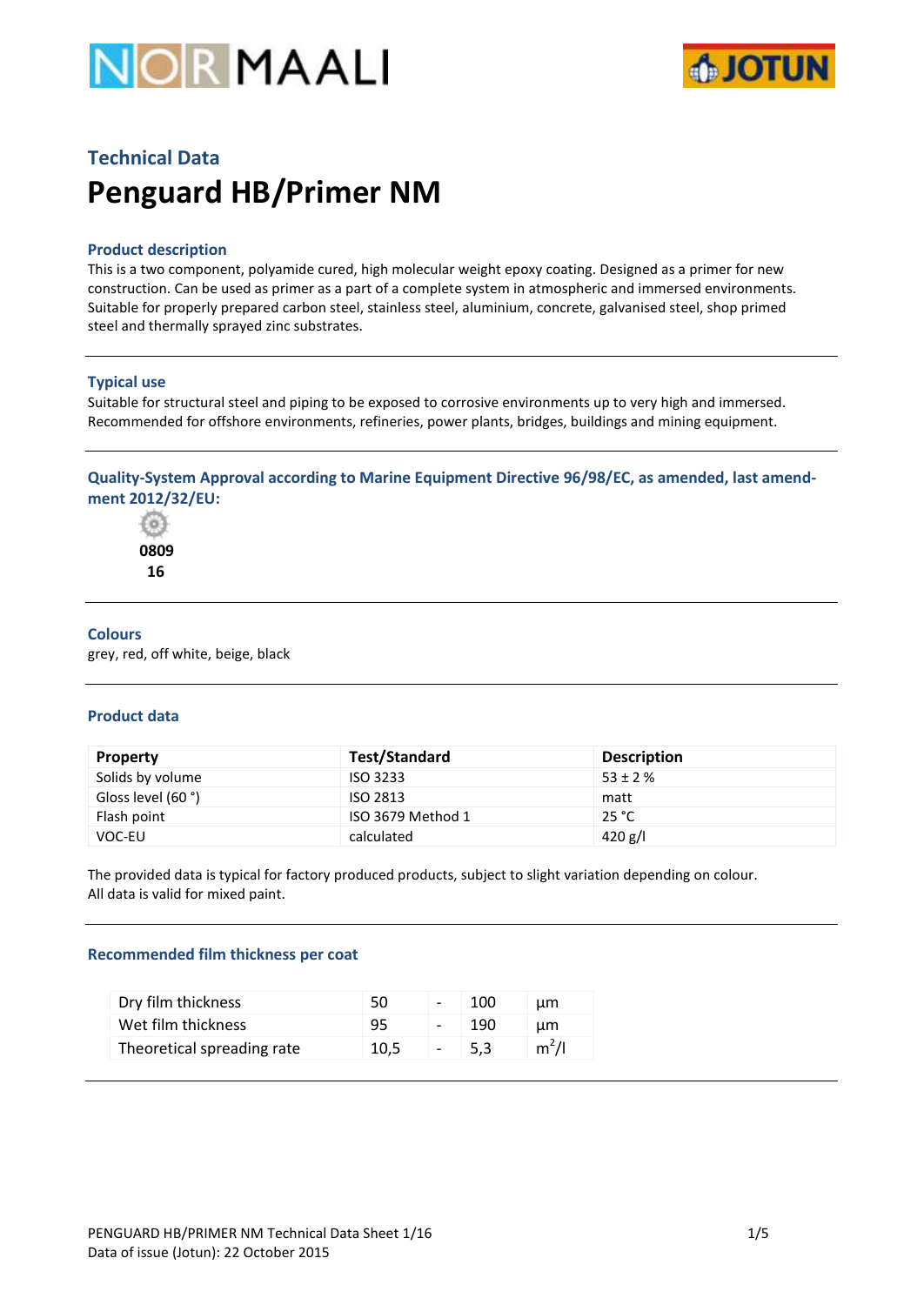



# **Technical Data Penguard HB/Primer NM**

# **Product description**

This is a two component, polyamide cured, high molecular weight epoxy coating. Designed as a primer for new construction. Can be used as primer as a part of a complete system in atmospheric and immersed environments. Suitable for properly prepared carbon steel, stainless steel, aluminium, concrete, galvanised steel, shop primed steel and thermally sprayed zinc substrates.

### **Typical use**

Suitable for structural steel and piping to be exposed to corrosive environments up to very high and immersed. Recommended for offshore environments, refineries, power plants, bridges, buildings and mining equipment.

# **Quality-System Approval according to Marine Equipment Directive 96/98/EC, as amended, last amendment 2012/32/EU:**

66  **0809 16**

### **Colours**

grey, red, off white, beige, black

### **Product data**

| <b>Property</b>    | Test/Standard     | <b>Description</b> |
|--------------------|-------------------|--------------------|
| Solids by volume   | <b>ISO 3233</b>   | $53 \pm 2 \%$      |
| Gloss level (60 °) | ISO 2813          | matt               |
| Flash point        | ISO 3679 Method 1 | 25 °C              |
| VOC-EU             | calculated        | 420 g/l            |

The provided data is typical for factory produced products, subject to slight variation depending on colour. All data is valid for mixed paint.

### **Recommended film thickness per coat**

| Dry film thickness         | 50   | $\overline{\phantom{0}}$ | 100  | um      |
|----------------------------|------|--------------------------|------|---------|
| Wet film thickness         | 95   |                          | 190  | um      |
| Theoretical spreading rate | 10.5 | $\overline{\phantom{a}}$ | -5.3 | $m^2/l$ |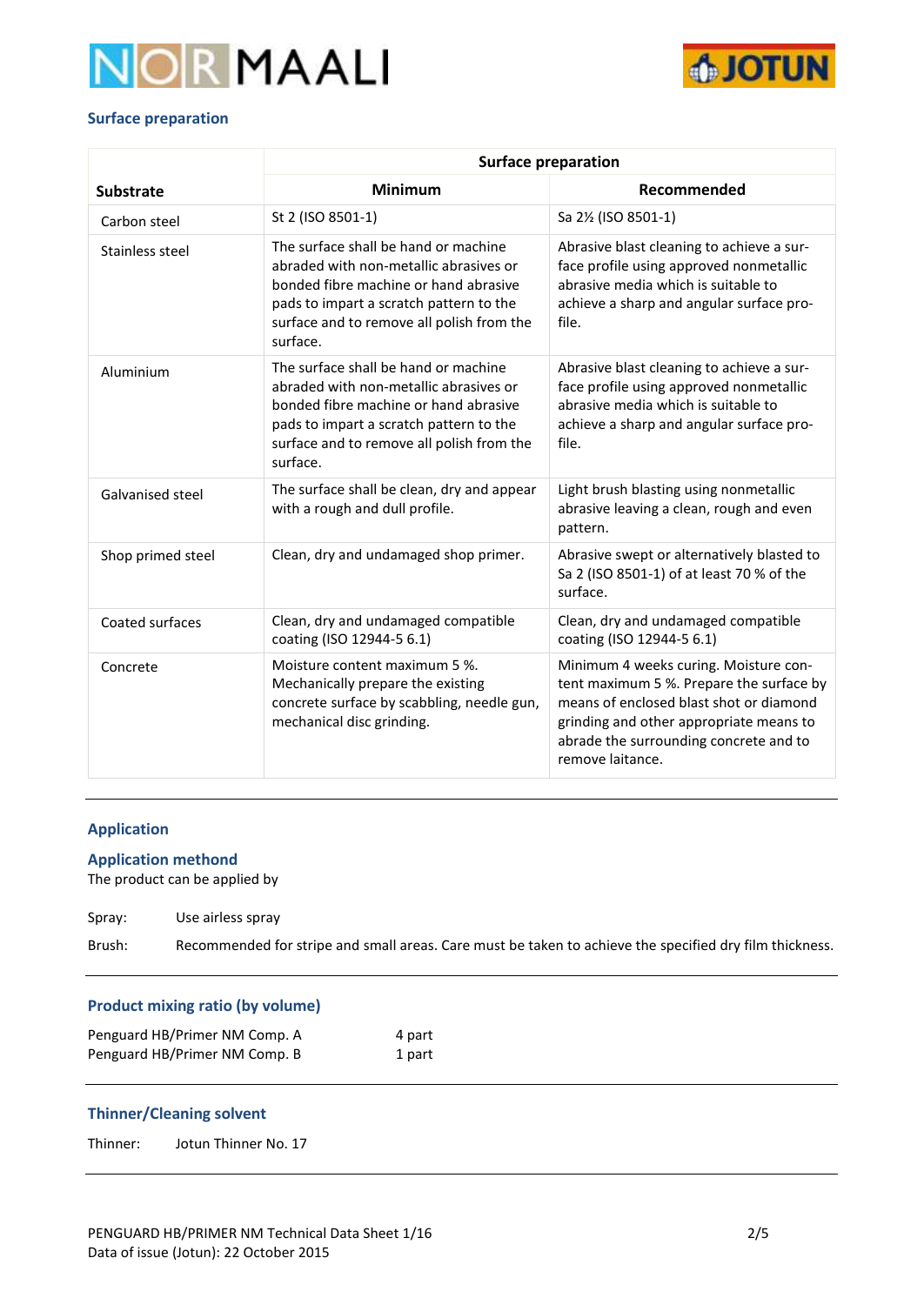



# **Surface preparation**

|                         | <b>Surface preparation</b>                                                                                                                                                                                                  |                                                                                                                                                                                                                                       |  |
|-------------------------|-----------------------------------------------------------------------------------------------------------------------------------------------------------------------------------------------------------------------------|---------------------------------------------------------------------------------------------------------------------------------------------------------------------------------------------------------------------------------------|--|
| <b>Substrate</b>        | <b>Minimum</b>                                                                                                                                                                                                              | Recommended                                                                                                                                                                                                                           |  |
| Carbon steel            | St 2 (ISO 8501-1)                                                                                                                                                                                                           | Sa 2½ (ISO 8501-1)                                                                                                                                                                                                                    |  |
| Stainless steel         | The surface shall be hand or machine<br>abraded with non-metallic abrasives or<br>bonded fibre machine or hand abrasive<br>pads to impart a scratch pattern to the<br>surface and to remove all polish from the<br>surface. | Abrasive blast cleaning to achieve a sur-<br>face profile using approved nonmetallic<br>abrasive media which is suitable to<br>achieve a sharp and angular surface pro-<br>file.                                                      |  |
| Aluminium               | The surface shall be hand or machine<br>abraded with non-metallic abrasives or<br>bonded fibre machine or hand abrasive<br>pads to impart a scratch pattern to the<br>surface and to remove all polish from the<br>surface. | Abrasive blast cleaning to achieve a sur-<br>face profile using approved nonmetallic<br>abrasive media which is suitable to<br>achieve a sharp and angular surface pro-<br>file.                                                      |  |
| <b>Galvanised steel</b> | The surface shall be clean, dry and appear<br>with a rough and dull profile.                                                                                                                                                | Light brush blasting using nonmetallic<br>abrasive leaving a clean, rough and even<br>pattern.                                                                                                                                        |  |
| Shop primed steel       | Clean, dry and undamaged shop primer.                                                                                                                                                                                       | Abrasive swept or alternatively blasted to<br>Sa 2 (ISO 8501-1) of at least 70 % of the<br>surface.                                                                                                                                   |  |
| Coated surfaces         | Clean, dry and undamaged compatible<br>coating (ISO 12944-5 6.1)                                                                                                                                                            | Clean, dry and undamaged compatible<br>coating (ISO 12944-5 6.1)                                                                                                                                                                      |  |
| Concrete                | Moisture content maximum 5 %.<br>Mechanically prepare the existing<br>concrete surface by scabbling, needle gun,<br>mechanical disc grinding.                                                                               | Minimum 4 weeks curing. Moisture con-<br>tent maximum 5 %. Prepare the surface by<br>means of enclosed blast shot or diamond<br>grinding and other appropriate means to<br>abrade the surrounding concrete and to<br>remove laitance. |  |

# **Application**

# **Application methond**

The product can be applied by

Spray: Use airless spray

Brush: Recommended for stripe and small areas. Care must be taken to achieve the specified dry film thickness.

# **Product mixing ratio (by volume)**

| Penguard HB/Primer NM Comp. A | 4 part |
|-------------------------------|--------|
| Penguard HB/Primer NM Comp. B | 1 part |

# **Thinner/Cleaning solvent**

Thinner: Jotun Thinner No. 17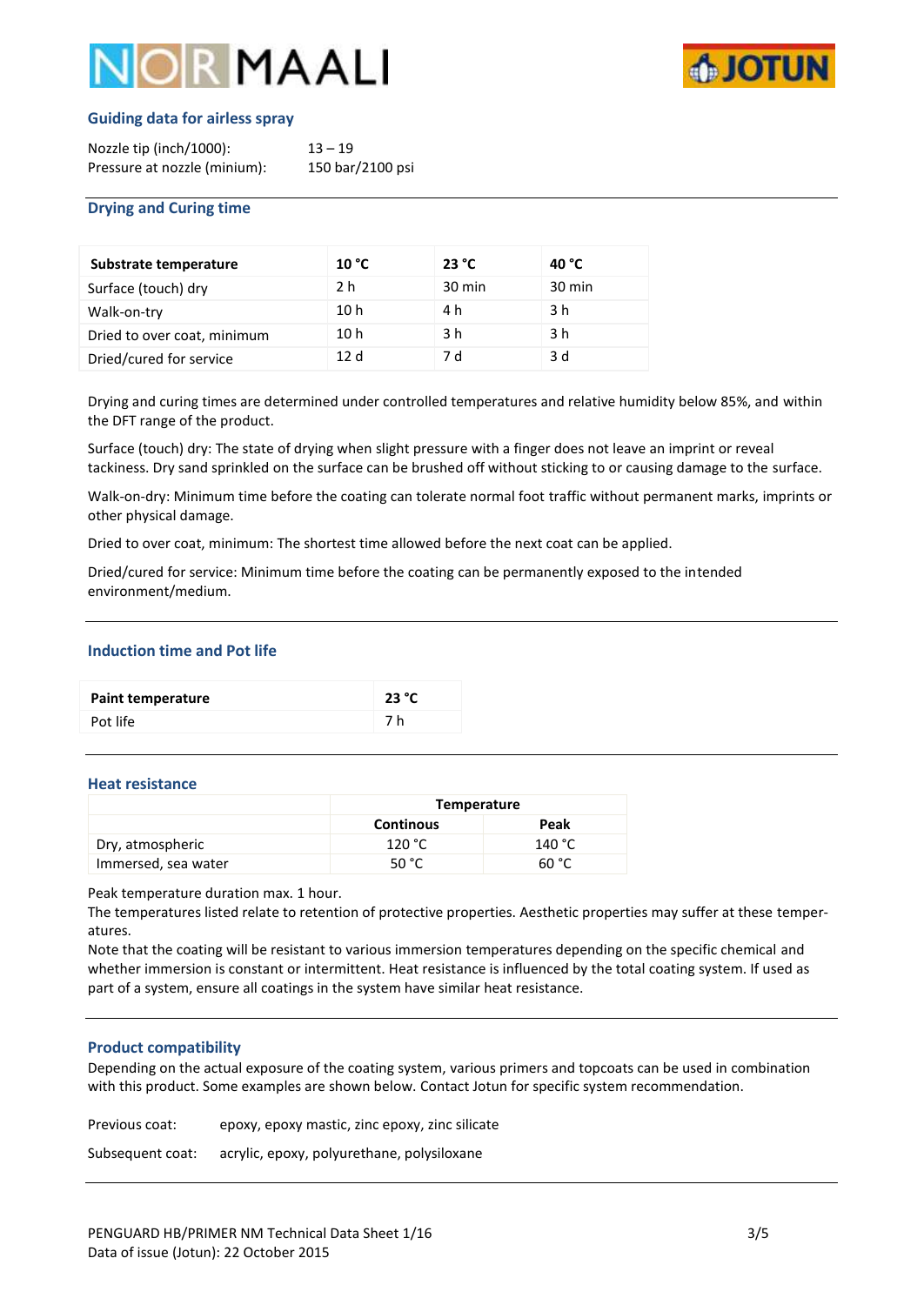# **DIR MAALI**



# **Guiding data for airless spray**

| Nozzle tip (inch/1000):      | $13 - 19$        |
|------------------------------|------------------|
| Pressure at nozzle (minium): | 150 bar/2100 psi |

# **Drying and Curing time**

| Substrate temperature       | 10 °C           | 23 °C            | 40 °C  |
|-----------------------------|-----------------|------------------|--------|
| Surface (touch) dry         | 2 h             | $30 \text{ min}$ | 30 min |
| Walk-on-try                 | 10 <sub>h</sub> | 4 h              | 3 h    |
| Dried to over coat, minimum | 10 <sub>h</sub> | 3 h              | 3 h    |
| Dried/cured for service     | 12d             | 7 d              | 3 d    |

Drying and curing times are determined under controlled temperatures and relative humidity below 85%, and within the DFT range of the product.

Surface (touch) dry: The state of drying when slight pressure with a finger does not leave an imprint or reveal tackiness. Dry sand sprinkled on the surface can be brushed off without sticking to or causing damage to the surface.

Walk-on-dry: Minimum time before the coating can tolerate normal foot traffic without permanent marks, imprints or other physical damage.

Dried to over coat, minimum: The shortest time allowed before the next coat can be applied.

Dried/cured for service: Minimum time before the coating can be permanently exposed to the intended environment/medium.

# **Induction time and Pot life**

| Paint temperature | 23 °C |
|-------------------|-------|
| Pot life          | 7 h   |

### **Heat resistance**

|                     | Temperature      |        |
|---------------------|------------------|--------|
|                     | <b>Continous</b> | Peak   |
| Dry, atmospheric    | 120 °C           | 140 °C |
| Immersed, sea water | 50 $^{\circ}$ C  | 60 °C  |

Peak temperature duration max. 1 hour.

The temperatures listed relate to retention of protective properties. Aesthetic properties may suffer at these temperatures.

Note that the coating will be resistant to various immersion temperatures depending on the specific chemical and whether immersion is constant or intermittent. Heat resistance is influenced by the total coating system. If used as part of a system, ensure all coatings in the system have similar heat resistance.

### **Product compatibility**

Depending on the actual exposure of the coating system, various primers and topcoats can be used in combination with this product. Some examples are shown below. Contact Jotun for specific system recommendation.

Previous coat: epoxy, epoxy mastic, zinc epoxy, zinc silicate

Subsequent coat: acrylic, epoxy, polyurethane, polysiloxane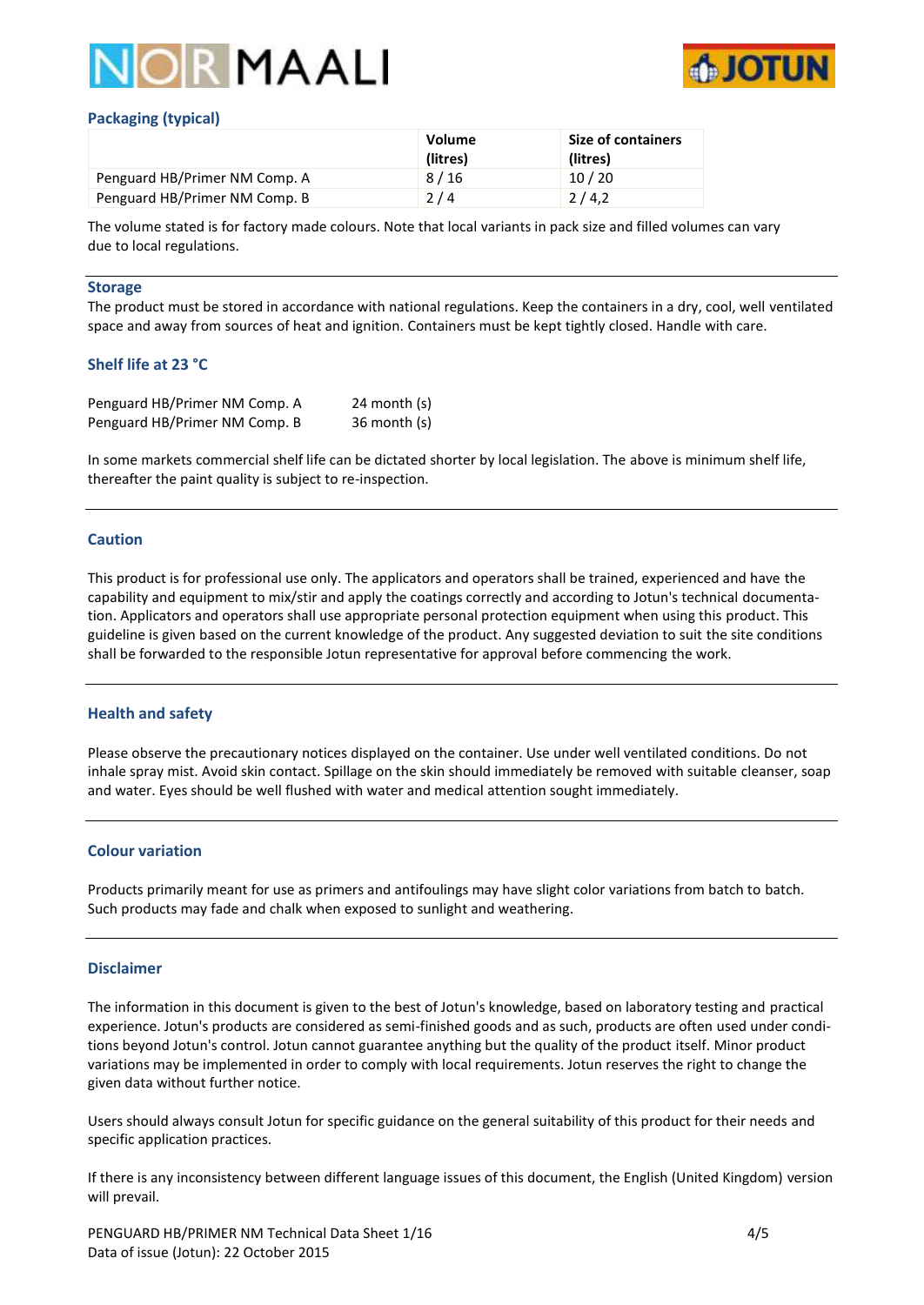



# **Packaging (typical)**

|                               | <b>Volume</b><br>(litres) | <b>Size of containers</b><br>(litres) |
|-------------------------------|---------------------------|---------------------------------------|
| Penguard HB/Primer NM Comp. A | 8/16                      | 10/20                                 |
| Penguard HB/Primer NM Comp. B | 2/4                       | 2/4.2                                 |

The volume stated is for factory made colours. Note that local variants in pack size and filled volumes can vary due to local regulations.

#### **Storage**

The product must be stored in accordance with national regulations. Keep the containers in a dry, cool, well ventilated space and away from sources of heat and ignition. Containers must be kept tightly closed. Handle with care.

# **Shelf life at 23 °C**

| Penguard HB/Primer NM Comp. A | 24 month $(s)$ |
|-------------------------------|----------------|
| Penguard HB/Primer NM Comp. B | $36$ month (s) |

In some markets commercial shelf life can be dictated shorter by local legislation. The above is minimum shelf life, thereafter the paint quality is subject to re-inspection.

# **Caution**

This product is for professional use only. The applicators and operators shall be trained, experienced and have the capability and equipment to mix/stir and apply the coatings correctly and according to Jotun's technical documentation. Applicators and operators shall use appropriate personal protection equipment when using this product. This guideline is given based on the current knowledge of the product. Any suggested deviation to suit the site conditions shall be forwarded to the responsible Jotun representative for approval before commencing the work.

### **Health and safety**

Please observe the precautionary notices displayed on the container. Use under well ventilated conditions. Do not inhale spray mist. Avoid skin contact. Spillage on the skin should immediately be removed with suitable cleanser, soap and water. Eyes should be well flushed with water and medical attention sought immediately.

### **Colour variation**

Products primarily meant for use as primers and antifoulings may have slight color variations from batch to batch. Such products may fade and chalk when exposed to sunlight and weathering.

### **Disclaimer**

The information in this document is given to the best of Jotun's knowledge, based on laboratory testing and practical experience. Jotun's products are considered as semi-finished goods and as such, products are often used under conditions beyond Jotun's control. Jotun cannot guarantee anything but the quality of the product itself. Minor product variations may be implemented in order to comply with local requirements. Jotun reserves the right to change the given data without further notice.

Users should always consult Jotun for specific guidance on the general suitability of this product for their needs and specific application practices.

If there is any inconsistency between different language issues of this document, the English (United Kingdom) version will prevail.